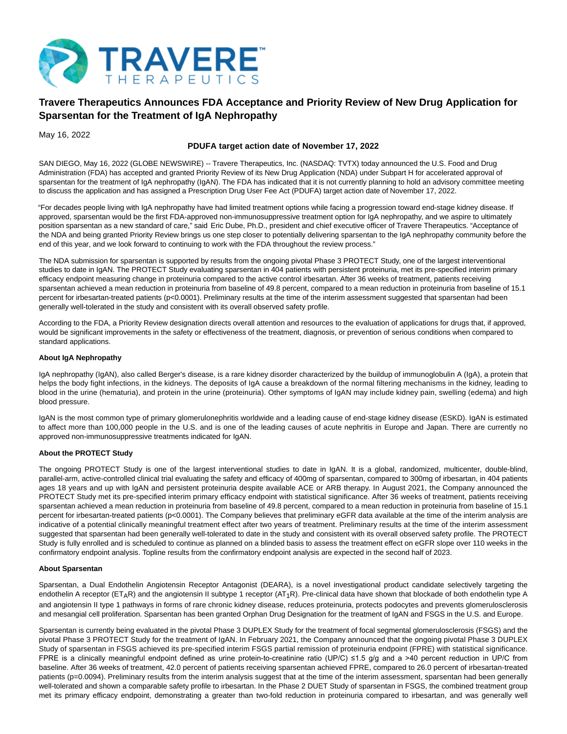

# **Travere Therapeutics Announces FDA Acceptance and Priority Review of New Drug Application for Sparsentan for the Treatment of IgA Nephropathy**

May 16, 2022

## **PDUFA target action date of November 17, 2022**

SAN DIEGO, May 16, 2022 (GLOBE NEWSWIRE) -- Travere Therapeutics, Inc. (NASDAQ: TVTX) today announced the U.S. Food and Drug Administration (FDA) has accepted and granted Priority Review of its New Drug Application (NDA) under Subpart H for accelerated approval of sparsentan for the treatment of IgA nephropathy (IgAN). The FDA has indicated that it is not currently planning to hold an advisory committee meeting to discuss the application and has assigned a Prescription Drug User Fee Act (PDUFA) target action date of November 17, 2022.

"For decades people living with IgA nephropathy have had limited treatment options while facing a progression toward end-stage kidney disease. If approved, sparsentan would be the first FDA-approved non-immunosuppressive treatment option for IgA nephropathy, and we aspire to ultimately position sparsentan as a new standard of care," said Eric Dube, Ph.D., president and chief executive officer of Travere Therapeutics. "Acceptance of the NDA and being granted Priority Review brings us one step closer to potentially delivering sparsentan to the IgA nephropathy community before the end of this year, and we look forward to continuing to work with the FDA throughout the review process."

The NDA submission for sparsentan is supported by results from the ongoing pivotal Phase 3 PROTECT Study, one of the largest interventional studies to date in IgAN. The PROTECT Study evaluating sparsentan in 404 patients with persistent proteinuria, met its pre-specified interim primary efficacy endpoint measuring change in proteinuria compared to the active control irbesartan. After 36 weeks of treatment, patients receiving sparsentan achieved a mean reduction in proteinuria from baseline of 49.8 percent, compared to a mean reduction in proteinuria from baseline of 15.1 percent for irbesartan-treated patients (p<0.0001). Preliminary results at the time of the interim assessment suggested that sparsentan had been generally well-tolerated in the study and consistent with its overall observed safety profile.

According to the FDA, a Priority Review designation directs overall attention and resources to the evaluation of applications for drugs that, if approved, would be significant improvements in the safety or effectiveness of the treatment, diagnosis, or prevention of serious conditions when compared to standard applications.

## **About IgA Nephropathy**

IgA nephropathy (IgAN), also called Berger's disease, is a rare kidney disorder characterized by the buildup of immunoglobulin A (IgA), a protein that helps the body fight infections, in the kidneys. The deposits of IgA cause a breakdown of the normal filtering mechanisms in the kidney, leading to blood in the urine (hematuria), and protein in the urine (proteinuria). Other symptoms of IgAN may include kidney pain, swelling (edema) and high blood pressure.

IgAN is the most common type of primary glomerulonephritis worldwide and a leading cause of end-stage kidney disease (ESKD). IgAN is estimated to affect more than 100,000 people in the U.S. and is one of the leading causes of acute nephritis in Europe and Japan. There are currently no approved non-immunosuppressive treatments indicated for IgAN.

## **About the PROTECT Study**

The ongoing PROTECT Study is one of the largest interventional studies to date in IgAN. It is a global, randomized, multicenter, double-blind, parallel-arm, active-controlled clinical trial evaluating the safety and efficacy of 400mg of sparsentan, compared to 300mg of irbesartan, in 404 patients ages 18 years and up with IgAN and persistent proteinuria despite available ACE or ARB therapy. In August 2021, the Company announced the PROTECT Study met its pre-specified interim primary efficacy endpoint with statistical significance. After 36 weeks of treatment, patients receiving sparsentan achieved a mean reduction in proteinuria from baseline of 49.8 percent, compared to a mean reduction in proteinuria from baseline of 15.1 percent for irbesartan-treated patients (p<0.0001). The Company believes that preliminary eGFR data available at the time of the interim analysis are indicative of a potential clinically meaningful treatment effect after two years of treatment. Preliminary results at the time of the interim assessment suggested that sparsentan had been generally well-tolerated to date in the study and consistent with its overall observed safety profile. The PROTECT Study is fully enrolled and is scheduled to continue as planned on a blinded basis to assess the treatment effect on eGFR slope over 110 weeks in the confirmatory endpoint analysis. Topline results from the confirmatory endpoint analysis are expected in the second half of 2023.

### **About Sparsentan**

Sparsentan, a Dual Endothelin Angiotensin Receptor Antagonist (DEARA), is a novel investigational product candidate selectively targeting the endothelin A receptor (ET<sub>A</sub>R) and the angiotensin II subtype 1 receptor (AT<sub>1</sub>R). Pre-clinical data have shown that blockade of both endothelin type A and angiotensin II type 1 pathways in forms of rare chronic kidney disease, reduces proteinuria, protects podocytes and prevents glomerulosclerosis and mesangial cell proliferation. Sparsentan has been granted Orphan Drug Designation for the treatment of IgAN and FSGS in the U.S. and Europe.

Sparsentan is currently being evaluated in the pivotal Phase 3 DUPLEX Study for the treatment of focal segmental glomerulosclerosis (FSGS) and the pivotal Phase 3 PROTECT Study for the treatment of IgAN. In February 2021, the Company announced that the ongoing pivotal Phase 3 DUPLEX Study of sparsentan in FSGS achieved its pre-specified interim FSGS partial remission of proteinuria endpoint (FPRE) with statistical significance. FPRE is a clinically meaningful endpoint defined as urine protein-to-creatinine ratio (UP/C) ≤1.5 g/g and a >40 percent reduction in UP/C from baseline. After 36 weeks of treatment, 42.0 percent of patients receiving sparsentan achieved FPRE, compared to 26.0 percent of irbesartan-treated patients (p=0.0094). Preliminary results from the interim analysis suggest that at the time of the interim assessment, sparsentan had been generally well-tolerated and shown a comparable safety profile to irbesartan. In the Phase 2 DUET Study of sparsentan in FSGS, the combined treatment group met its primary efficacy endpoint, demonstrating a greater than two-fold reduction in proteinuria compared to irbesartan, and was generally well